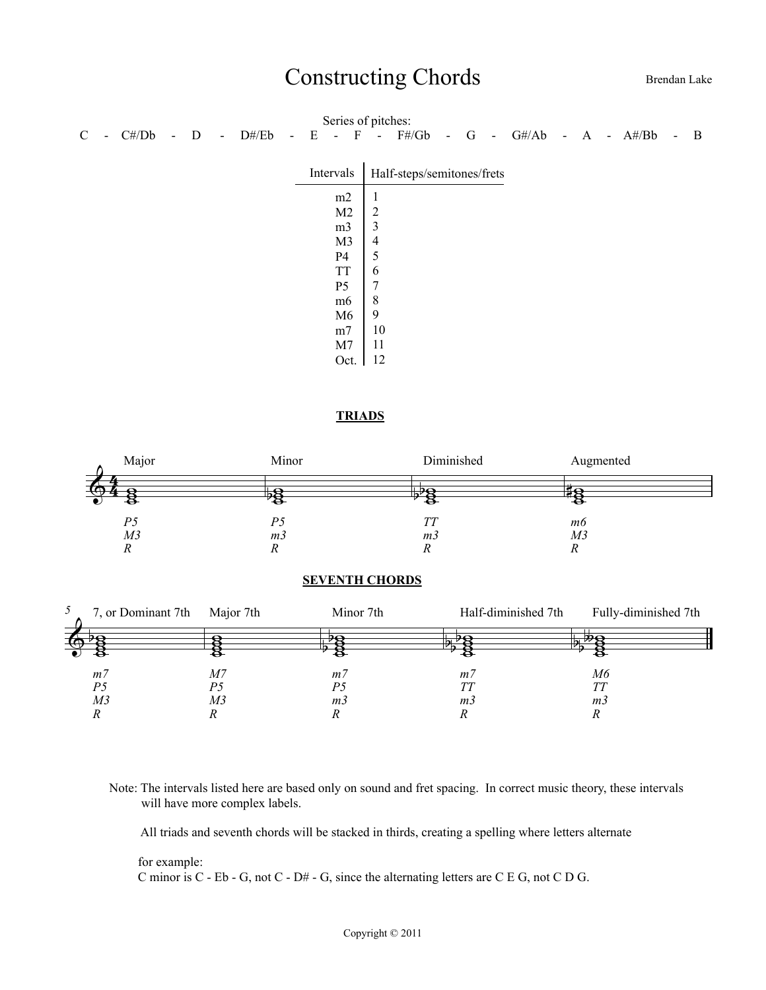#### Constructing Chords Brendan Lake

| Series of pitches: |                          |           |                          |              |        |       |                |   |                |       |                |                            |      |                |          |      |           |        |              |
|--------------------|--------------------------|-----------|--------------------------|--------------|--------|-------|----------------|---|----------------|-------|----------------|----------------------------|------|----------------|----------|------|-----------|--------|--------------|
| $\mathcal{C}$      | $\overline{\phantom{a}}$ | $C\# /Db$ | $\overline{\phantom{0}}$ | $\mathbf{D}$ | $\sim$ | D#/Eb | $\blacksquare$ | E |                | $-$ F | $\sim$         | F#/Gb                      | $-G$ | $\blacksquare$ | $G\#/Ab$ | $-A$ | - $A#/Bb$ | $\sim$ | $\mathbf{B}$ |
|                    |                          |           |                          |              |        |       |                |   |                |       |                |                            |      |                |          |      |           |        |              |
|                    |                          |           |                          |              |        |       |                |   | Intervals      |       |                | Half-steps/semitones/frets |      |                |          |      |           |        |              |
|                    |                          |           |                          |              |        |       |                |   | m2             |       | $\mathbf{1}$   |                            |      |                |          |      |           |        |              |
|                    |                          |           |                          |              |        |       |                |   | M2             |       | $\overline{c}$ |                            |      |                |          |      |           |        |              |
|                    |                          |           |                          |              |        |       |                |   | m <sub>3</sub> |       | $\mathfrak{Z}$ |                            |      |                |          |      |           |        |              |
|                    |                          |           |                          |              |        |       |                |   | M <sub>3</sub> |       | $\overline{4}$ |                            |      |                |          |      |           |        |              |
|                    |                          |           |                          |              |        |       |                |   | P4             |       | 5              |                            |      |                |          |      |           |        |              |
|                    |                          |           |                          |              |        |       |                |   | <b>TT</b>      |       | 6              |                            |      |                |          |      |           |        |              |
|                    |                          |           |                          |              |        |       |                |   | P <sub>5</sub> |       | $\overline{7}$ |                            |      |                |          |      |           |        |              |
|                    |                          |           |                          |              |        |       |                |   | m <sub>6</sub> |       | $\,8\,$        |                            |      |                |          |      |           |        |              |
|                    |                          |           |                          |              |        |       |                |   | M6             |       | 9              |                            |      |                |          |      |           |        |              |
|                    |                          |           |                          |              |        |       |                |   | m <sub>7</sub> |       | 10             |                            |      |                |          |      |           |        |              |
|                    |                          |           |                          |              |        |       |                |   | M7             |       | 11             |                            |      |                |          |      |           |        |              |
|                    |                          |           |                          |              |        |       |                |   | Oct.           |       | 12             |                            |      |                |          |      |           |        |              |
|                    |                          |           |                          |              |        |       |                |   |                |       |                |                            |      |                |          |      |           |        |              |

#### **TRIADS**



#### **SEVENTH CHORDS**

| $\mathcal{L}$ | 7, or Dominant 7th | Major 7th | Minor 7th      | Half-diminished 7th | Fully-diminished 7th |
|---------------|--------------------|-----------|----------------|---------------------|----------------------|
|               |                    |           |                |                     |                      |
|               |                    |           |                |                     |                      |
|               |                    |           |                |                     |                      |
|               | m <sub>7</sub>     | M7        | m/             | m/                  | M6                   |
|               | P5                 |           |                |                     | TT                   |
|               | MЗ                 | М3        | m <sub>3</sub> | m <sub>3</sub>      | m <sub>3</sub>       |
|               |                    |           |                |                     |                      |

Note: The intervals listed here are based only on sound and fret spacing. In correct music theory, these intervals will have more complex labels.

All triads and seventh chords will be stacked in thirds, creating a spelling where letters alternate

 for example: C minor is C - Eb - G, not C - D# - G, since the alternating letters are C E G, not C D G.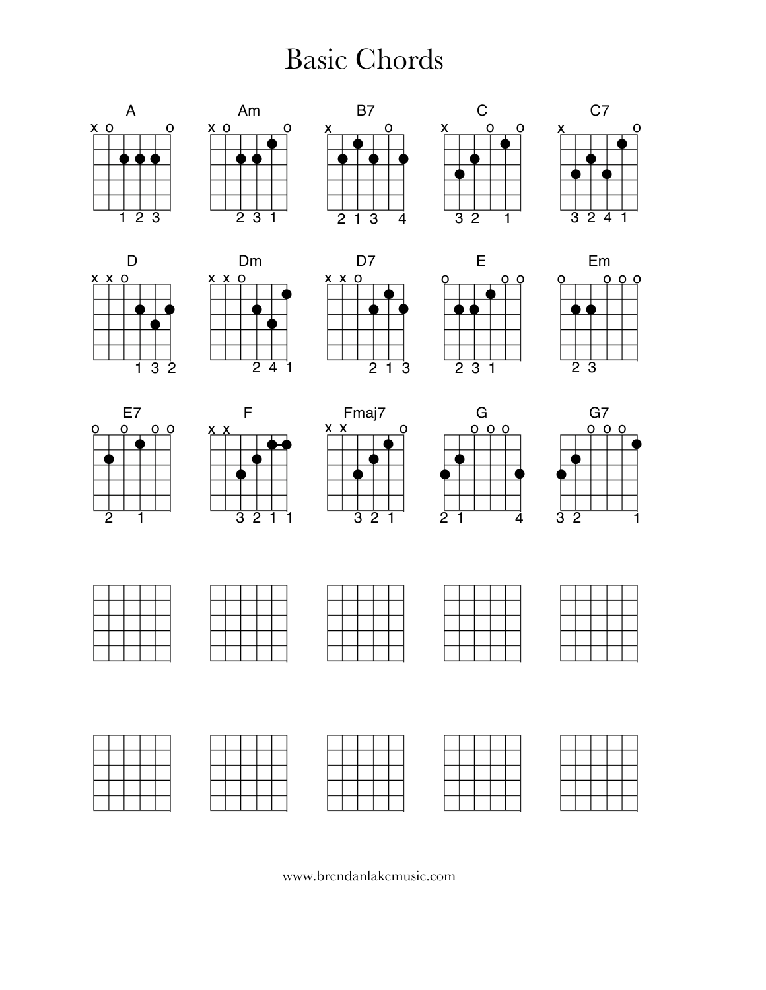## **Basic Chords**



www.brendanlakemusic.com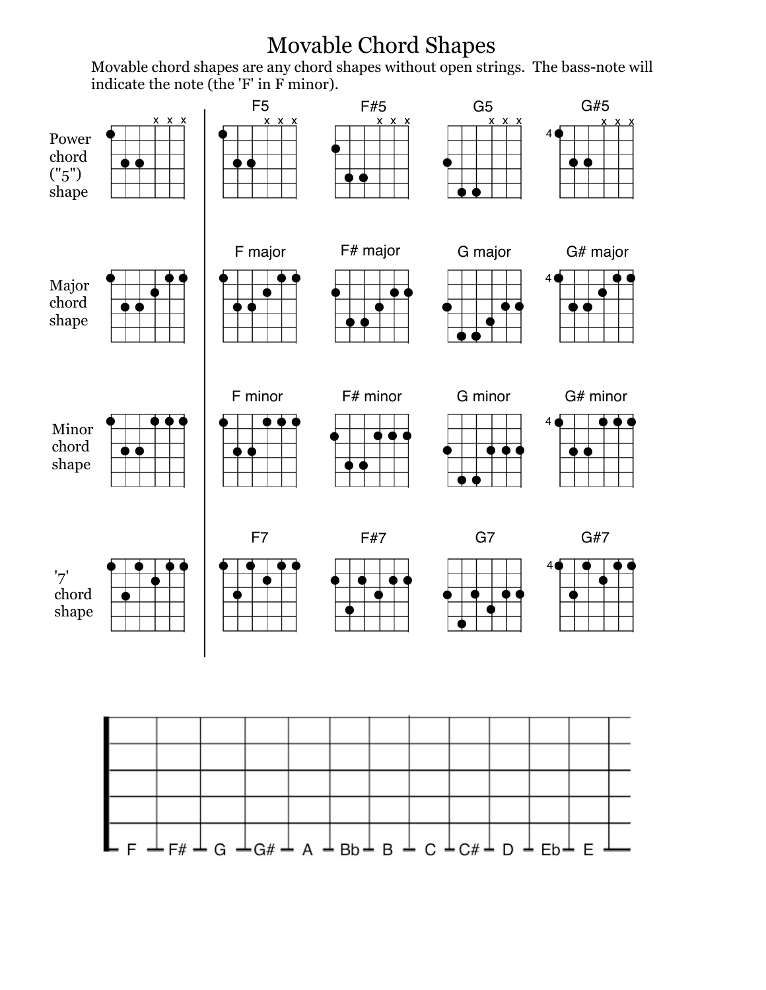### Movable Chord Shapes

Movable chord shapes are any chord shapes without open strings. The bass-note will



 $G \perp G \# \perp A$ 

- F#

∸

 $\perp$  B<sub>b</sub>  $\perp$  B  $\perp$  C  $\perp$  C#  $\perp$  D  $\perp$  Eb

⊥ Е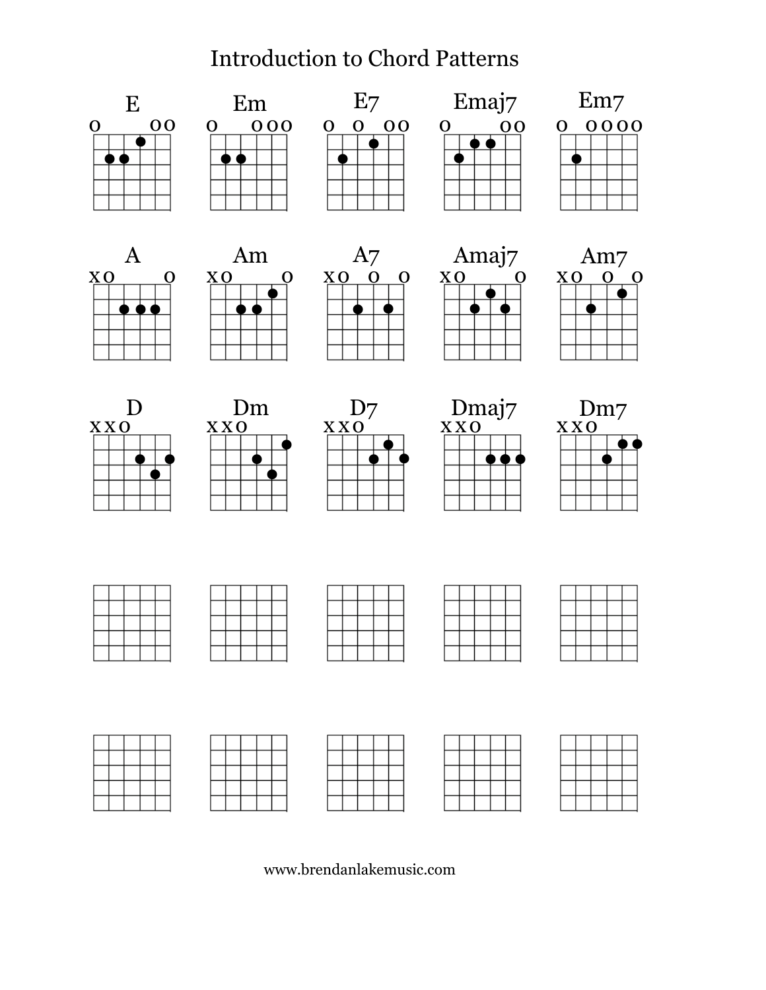### **Introduction to Chord Patterns**



www.brendanlakemusic.com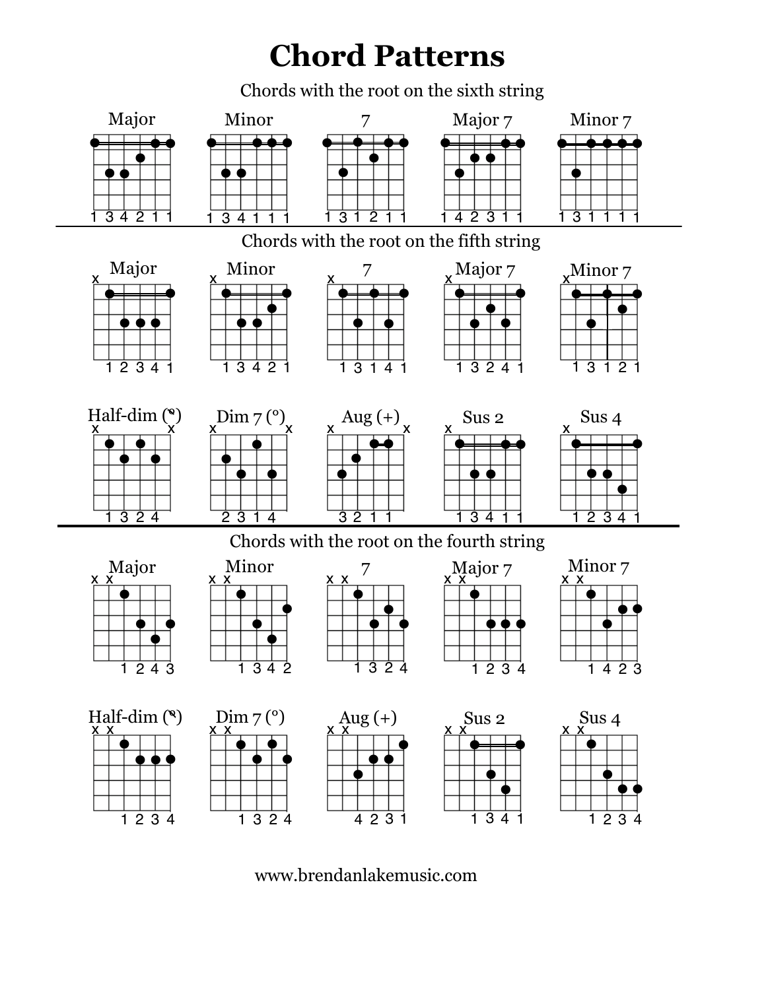# **Chord Patterns**



www.brendanlakemusic.com

1 2 3 4 1 3 2 4 4 2 3 1 1 3 4 1 1 2 3 4

1234